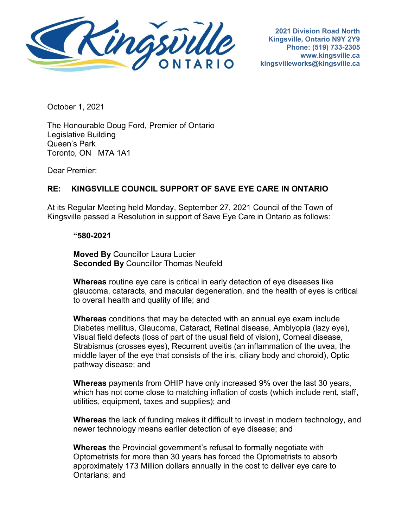

 **2021 Division Road North Kingsville, Ontario N9Y 2Y9 Phone: (519) 733-2305 [www.kingsville.ca](http://www.kingsville.ca/)  [kingsvilleworks@kingsville.ca](mailto:kingsvilleworks@kingsville.ca)** 

October 1, 2021

The Honourable Doug Ford, Premier of Ontario Legislative Building Queen's Park Toronto, ON M7A 1A1

Dear Premier:

## **RE: KINGSVILLE COUNCIL SUPPORT OF SAVE EYE CARE IN ONTARIO**

 At its Regular Meeting held Monday, September 27, 2021 Council of the Town of Kingsville passed a Resolution in support of Save Eye Care in Ontario as follows:

## **"580-2021**

**Moved By** Councillor Laura Lucier **Seconded By** Councillor Thomas Neufeld

 glaucoma, cataracts, and macular degeneration, and the health of eyes is critical **Whereas** routine eye care is critical in early detection of eye diseases like to overall health and quality of life; and

 **Whereas** conditions that may be detected with an annual eye exam include Diabetes mellitus, Glaucoma, Cataract, Retinal disease, Amblyopia (lazy eye), Visual field defects (loss of part of the usual field of vision), Corneal disease, Strabismus (crosses eyes), Recurrent uveitis (an inflammation of the uvea, the middle layer of the eye that consists of the iris, ciliary body and choroid), Optic pathway disease; and

**Whereas** payments from OHIP have only increased 9% over the last 30 years, which has not come close to matching inflation of costs (which include rent, staff, utilities, equipment, taxes and supplies); and

 newer technology means earlier detection of eye disease; and **Whereas** the lack of funding makes it difficult to invest in modern technology, and

 **Whereas** the Provincial government's refusal to formally negotiate with Optometrists for more than 30 years has forced the Optometrists to absorb approximately 173 Million dollars annually in the cost to deliver eye care to Ontarians; and